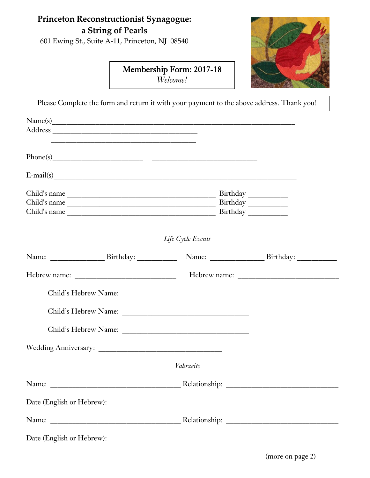## **Princeton Reconstructionist Synagogue: a String of Pearls**

601 Ewing St., Suite A-11, Princeton, NJ 08540

## Membership Form: 2017-18 *Welcome!*

I



| Please Complete the form and return it with your payment to the above address. Thank you!                        |                   |  |  |
|------------------------------------------------------------------------------------------------------------------|-------------------|--|--|
| Name(s)                                                                                                          |                   |  |  |
|                                                                                                                  |                   |  |  |
| and the control of the control of the control of the control of the control of the control of the control of the |                   |  |  |
|                                                                                                                  |                   |  |  |
| $E-mail(s)$                                                                                                      |                   |  |  |
|                                                                                                                  |                   |  |  |
|                                                                                                                  |                   |  |  |
|                                                                                                                  |                   |  |  |
|                                                                                                                  | Life Cycle Events |  |  |
|                                                                                                                  |                   |  |  |
|                                                                                                                  |                   |  |  |
|                                                                                                                  |                   |  |  |
|                                                                                                                  |                   |  |  |
|                                                                                                                  |                   |  |  |
|                                                                                                                  |                   |  |  |
|                                                                                                                  | Yahrzeits         |  |  |
|                                                                                                                  |                   |  |  |
|                                                                                                                  |                   |  |  |
|                                                                                                                  |                   |  |  |
|                                                                                                                  |                   |  |  |